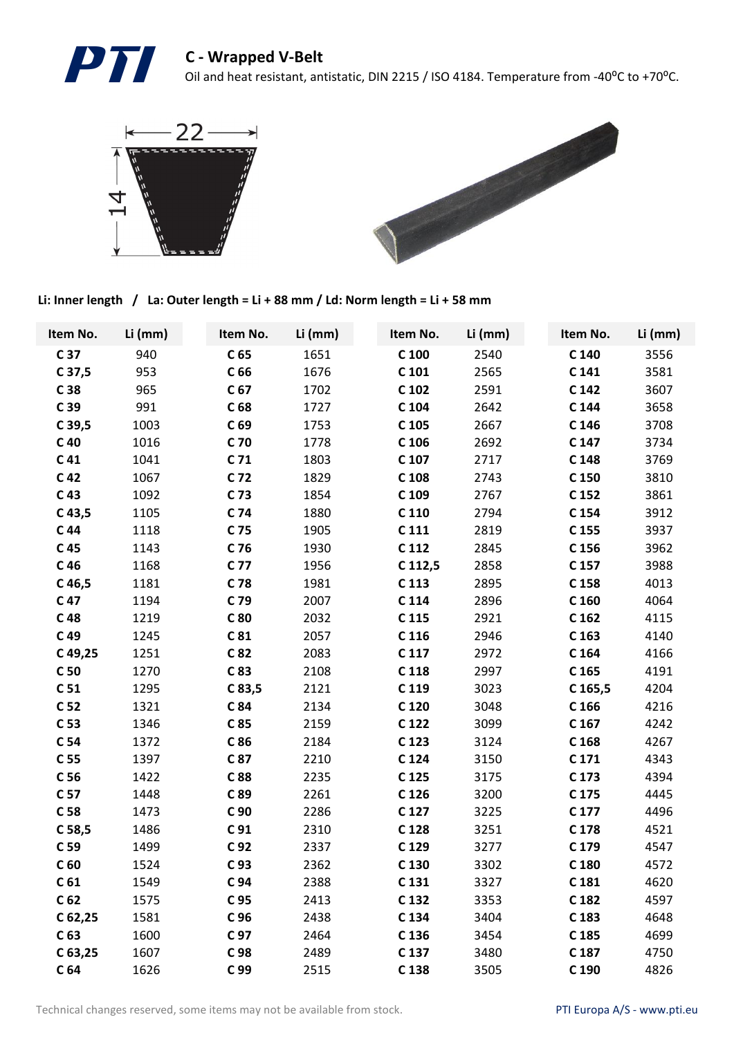



Li: Inner length / La: Outer length = Li + 88 mm / Ld: Norm length = Li + 58 mm

| Item No.          | Li (mm) | Item No.        | Li (mm) | Item No.         | Li (mm) | Item No.         | Li (mm) |
|-------------------|---------|-----------------|---------|------------------|---------|------------------|---------|
| C 37              | 940     | C <sub>65</sub> | 1651    | $C$ 100          | 2540    | C 140            | 3556    |
| $C$ 37,5          | 953     | C <sub>66</sub> | 1676    | $C$ 101          | 2565    | C <sub>141</sub> | 3581    |
| C 38              | 965     | C <sub>67</sub> | 1702    | C 102            | 2591    | C 142            | 3607    |
| C 39              | 991     | C <sub>68</sub> | 1727    | C 104            | 2642    | C 144            | 3658    |
| $C$ 39,5          | 1003    | C <sub>69</sub> | 1753    | C 105            | 2667    | C 146            | 3708    |
| $C$ 40            | 1016    | C 70            | 1778    | C 106            | 2692    | C 147            | 3734    |
| C <sub>41</sub>   | 1041    | C <sub>71</sub> | 1803    | C 107            | 2717    | C 148            | 3769    |
| C <sub>42</sub>   | 1067    | C 72            | 1829    | C 108            | 2743    | C 150            | 3810    |
| C <sub>43</sub>   | 1092    | C 73            | 1854    | C 109            | 2767    | C 152            | 3861    |
| C <sub>43,5</sub> | 1105    | C 74            | 1880    | C 110            | 2794    | C 154            | 3912    |
| C <sub>44</sub>   | 1118    | C 75            | 1905    | C <sub>111</sub> | 2819    | C 155            | 3937    |
| C <sub>45</sub>   | 1143    | C 76            | 1930    | C 112            | 2845    | C 156            | 3962    |
| C <sub>46</sub>   | 1168    | C 77            | 1956    | C 112,5          | 2858    | C 157            | 3988    |
| $C$ 46,5          | 1181    | C 78            | 1981    | C 113            | 2895    | C 158            | 4013    |
| C 47              | 1194    | C 79            | 2007    | C 114            | 2896    | C 160            | 4064    |
| C <sub>48</sub>   | 1219    | C 80            | 2032    | C 115            | 2921    | C <sub>162</sub> | 4115    |
| C 49              | 1245    | C <sub>81</sub> | 2057    | C 116            | 2946    | C <sub>163</sub> | 4140    |
| C49,25            | 1251    | C 82            | 2083    | C 117            | 2972    | C 164            | 4166    |
| C <sub>50</sub>   | 1270    | C 83            | 2108    | C 118            | 2997    | C 165            | 4191    |
| C <sub>51</sub>   | 1295    | C83,5           | 2121    | C 119            | 3023    | $C$ 165,5        | 4204    |
| C <sub>52</sub>   | 1321    | C 84            | 2134    | C 120            | 3048    | C <sub>166</sub> | 4216    |
| C <sub>53</sub>   | 1346    | C 85            | 2159    | C 122            | 3099    | C <sub>167</sub> | 4242    |
| C 54              | 1372    | C 86            | 2184    | C 123            | 3124    | C 168            | 4267    |
| C 55              | 1397    | C 87            | 2210    | C 124            | 3150    | C <sub>171</sub> | 4343    |
| C <sub>56</sub>   | 1422    | C 88            | 2235    | C 125            | 3175    | C 173            | 4394    |
| C 57              | 1448    | C 89            | 2261    | C 126            | 3200    | C 175            | 4445    |
| C <sub>58</sub>   | 1473    | C 90            | 2286    | C 127            | 3225    | C <sub>177</sub> | 4496    |
| C <sub>58,5</sub> | 1486    | C <sub>91</sub> | 2310    | C 128            | 3251    | C 178            | 4521    |
| C <sub>59</sub>   | 1499    | C <sub>92</sub> | 2337    | C 129            | 3277    | C 179            | 4547    |
| C <sub>60</sub>   | 1524    | C <sub>93</sub> | 2362    | C 130            | 3302    | C 180            | 4572    |
| C <sub>61</sub>   | 1549    | C 94            | 2388    | C 131            | 3327    | C 181            | 4620    |
| C <sub>62</sub>   | 1575    | C 95            | 2413    | C 132            | 3353    | C 182            | 4597    |
| C 62,25           | 1581    | C 96            | 2438    | C 134            | 3404    | C 183            | 4648    |
| C <sub>63</sub>   | 1600    | C 97            | 2464    | C 136            | 3454    | C 185            | 4699    |
| $C$ 63,25         | 1607    | C 98            | 2489    | C 137            | 3480    | C 187            | 4750    |
| C <sub>64</sub>   | 1626    | C 99            | 2515    | C 138            | 3505    | C 190            | 4826    |